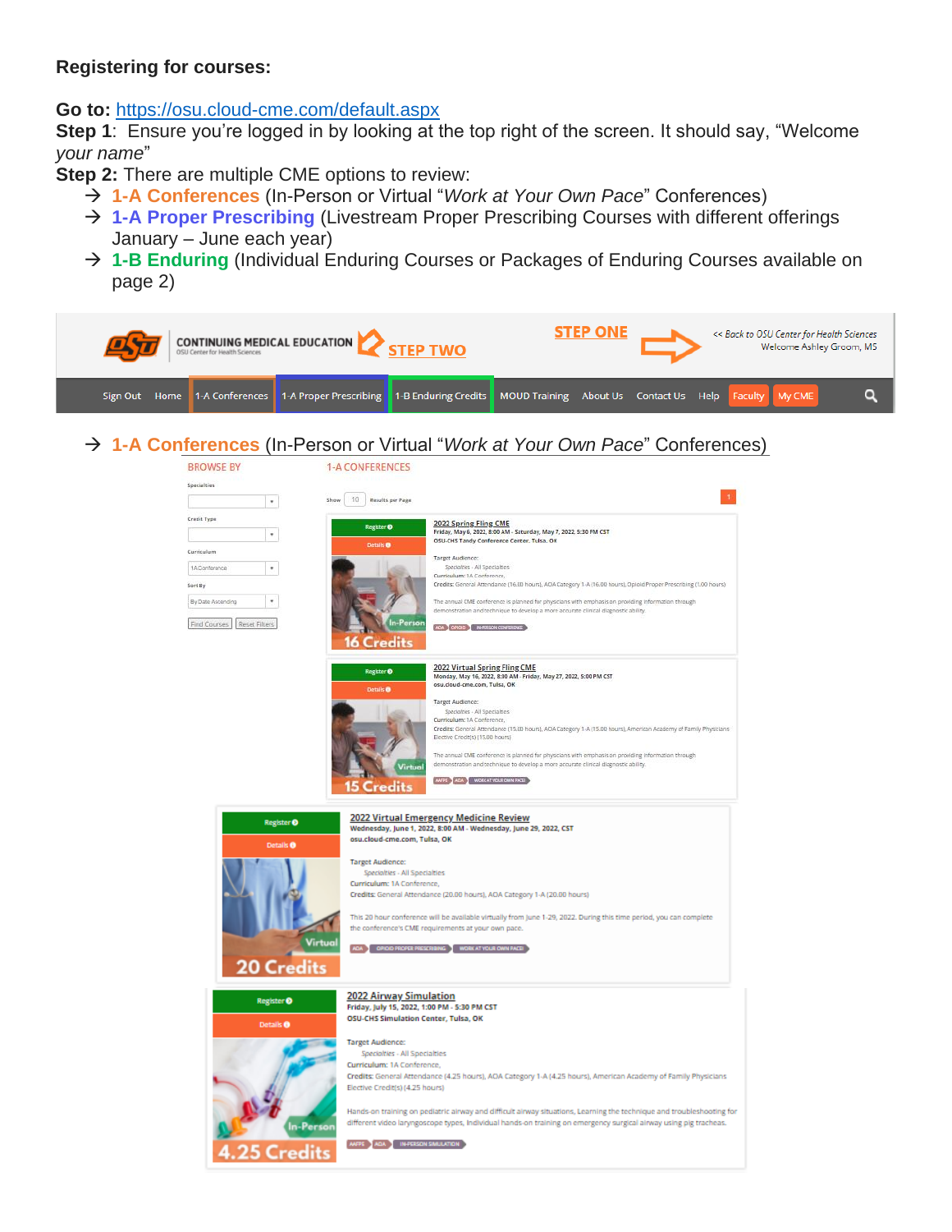### **Registering for courses:**

**Go to:** <https://osu.cloud-cme.com/default.aspx>

**Step 1**: Ensure you're logged in by looking at the top right of the screen. It should say, "Welcome *your name*"

**Step 2:** There are multiple CME options to review:

- → **1-A Conferences** (In-Person or Virtual "*Work at Your Own Pace*" Conferences)
- → **1-A Proper Prescribing** (Livestream Proper Prescribing Courses with different offerings January – June each year)
- → **1-B Enduring** (Individual Enduring Courses or Packages of Enduring Courses available on page 2)

|  | <b>CONTINUING MEDICAL EDUCATION</b><br><b>TEP TWO</b> |  |                                                                                                                                 |  | <b>STEP ONE</b> |  | << Back to OSU Center for Health Sciences<br>Welcome Ashley Groom, MS |  |
|--|-------------------------------------------------------|--|---------------------------------------------------------------------------------------------------------------------------------|--|-----------------|--|-----------------------------------------------------------------------|--|
|  |                                                       |  | Sign Out Home 1-A Conferences 1-A Proper Prescribing 1-B Enduring Credits MOUD Training About Us Contact Us Help Faculty My CME |  |                 |  |                                                                       |  |

→ **1-A Conferences** (In-Person or Virtual "*Work at Your Own Pace*" Conferences)

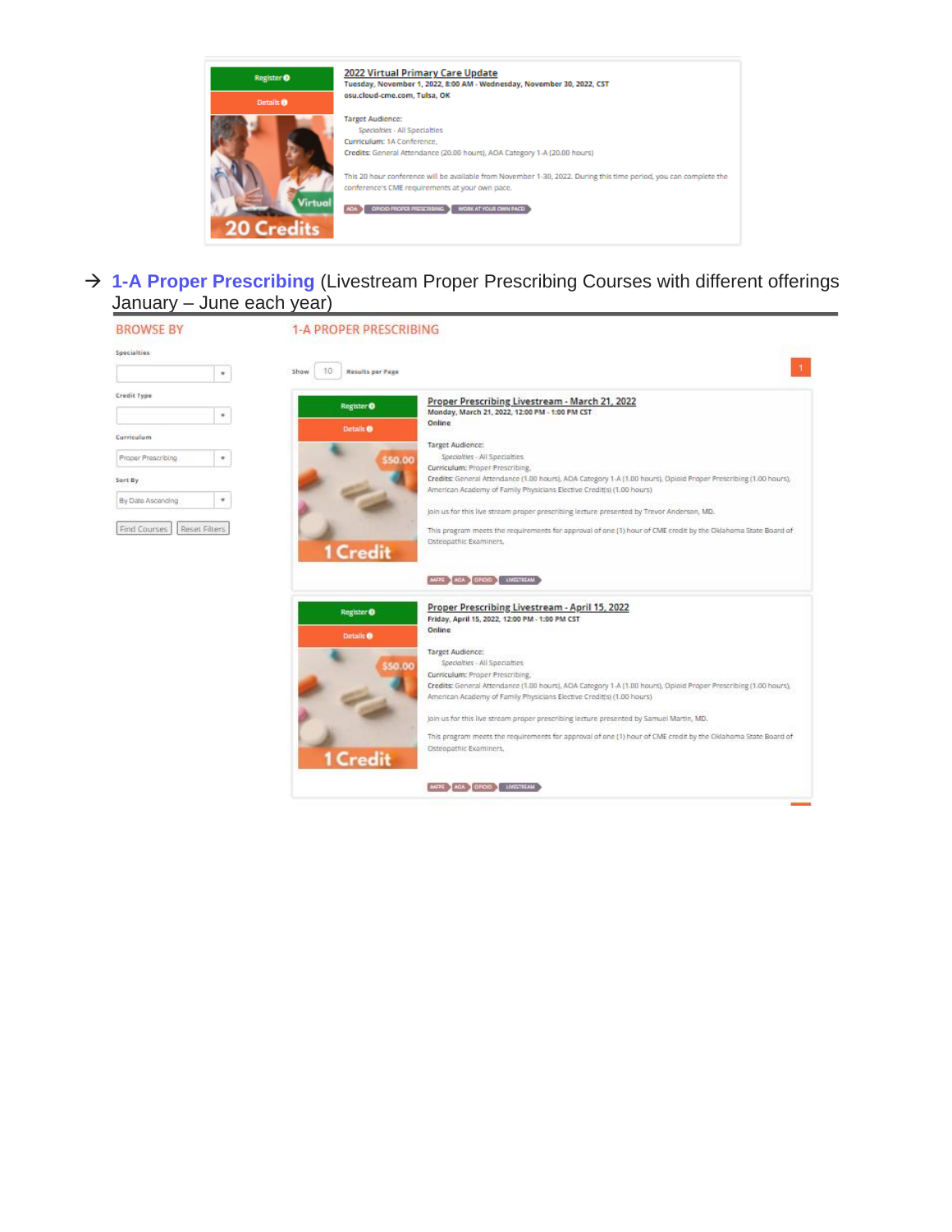

→ **1-A Proper Prescribing** (Livestream Proper Prescribing Courses with different offerings January – June each year)

| <b>BROWSE BY</b>   |                      | <b>1-A PROPER PRESCRIBING</b>                                                                                                                                                             |
|--------------------|----------------------|-------------------------------------------------------------------------------------------------------------------------------------------------------------------------------------------|
| Specialties        | ٠                    | 10<br>Results per Page<br>Show                                                                                                                                                            |
|                    |                      |                                                                                                                                                                                           |
| Credit Type        |                      | Proper Prescribing Livestream - March 21, 2022                                                                                                                                            |
|                    | ٠                    | Register <sup>O</sup><br>Monday, March 21, 2022, 12:00 PM - 1:00 PM CST                                                                                                                   |
|                    |                      | Online<br>Details <sup>®</sup>                                                                                                                                                            |
| Curriculum         |                      | Target Audience:                                                                                                                                                                          |
| Proper Prescribing | ٠                    | Specialties - All Specialties<br>550.00                                                                                                                                                   |
|                    |                      | Curriculum: Proper Prescribing,                                                                                                                                                           |
| Sort By            |                      | Credits: General Attendance (1.00 hours), AOA Category 1-A (1.00 hours), Opioid Proper Prescribing (1.00 hours),<br>American Academy of Family Physicians Elective Credit(s) (1.00 hours) |
| By Date Ascending  | ٠                    | join us for this live stream proper prescribing lecture presented by Trevor Anderson, MD.                                                                                                 |
| Find Courses       | <b>Reset Filters</b> | This program meets the requirements for approval of one (1) hour of CME credit by the Oklahoma State Board of                                                                             |
|                    |                      | Osteopathic Examiners,<br>1 Credit                                                                                                                                                        |
|                    |                      | ANTIC AGA GROUP LIVESTIGAM                                                                                                                                                                |
|                    |                      | Proper Prescribing Livestream - April 15, 2022<br>Register O                                                                                                                              |
|                    |                      | Friday, April 15, 2022, 12:00 PM - 1:00 PM CST                                                                                                                                            |
|                    |                      | Online<br>Details <sup>®</sup>                                                                                                                                                            |
|                    |                      | Target Audience:<br>Specialties - All Specialties                                                                                                                                         |
|                    |                      | 550.00<br>Curriculum: Proper Prescribing,                                                                                                                                                 |
|                    |                      | Credits: General Attendance (1.00 hours), AOA Category 1.4 (1.00 hours), Opioid Proper Prescribing (1.00 hours),                                                                          |
|                    |                      | American Academy of Family Physicians Elective Credit(s) (1.00 hours)                                                                                                                     |
|                    |                      | join us for this live stream proper prescribing lecture presented by Samuel Martin, MD.                                                                                                   |
|                    |                      | This program meets the requirements for approval of one (1) hour of CME credit by the Oklahoma State Board of                                                                             |
|                    |                      | Osteopathic Examiners,<br>1 Credit                                                                                                                                                        |
|                    |                      | ANPE AGA GROOT UNCTICAN                                                                                                                                                                   |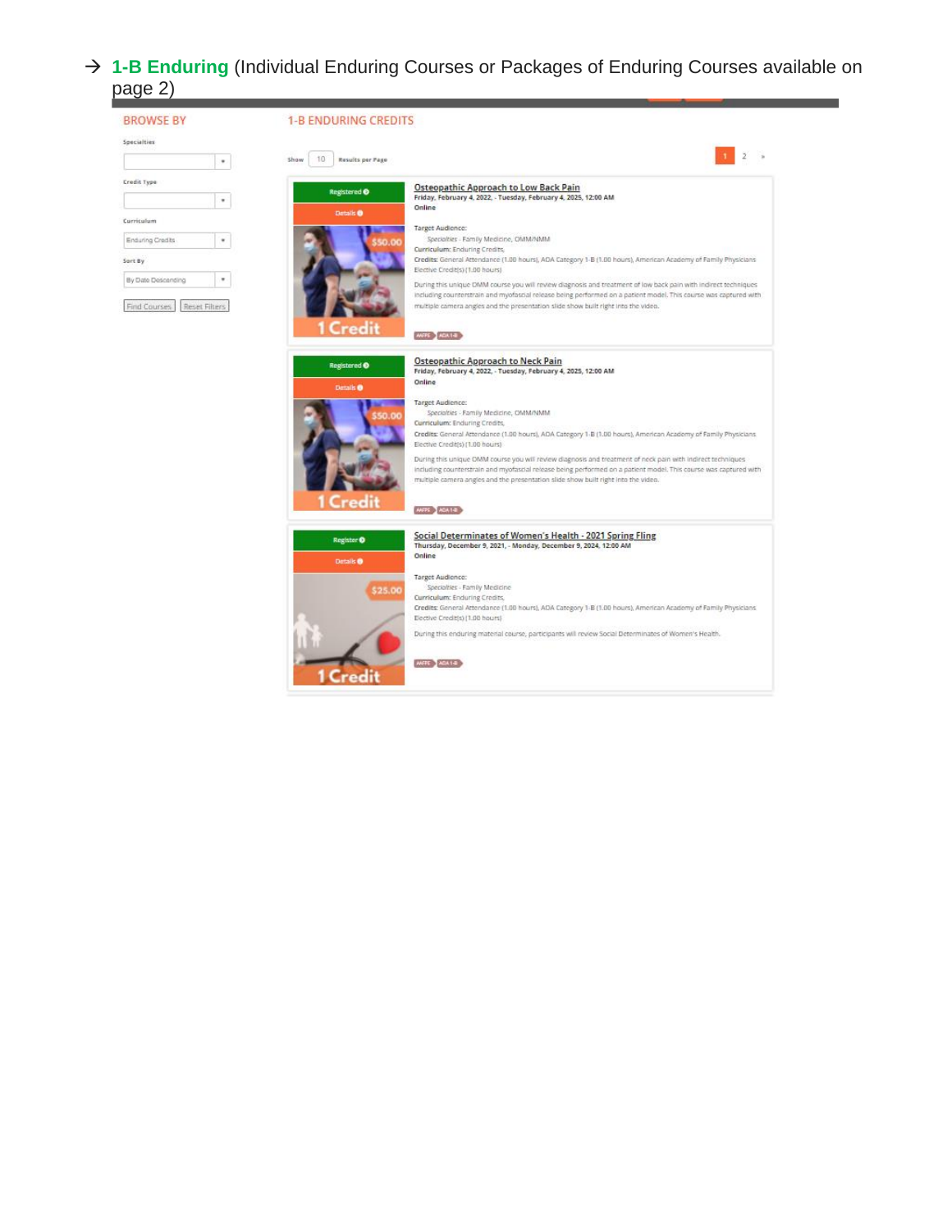### → **1-B Enduring** (Individual Enduring Courses or Packages of Enduring Courses available on page 2)

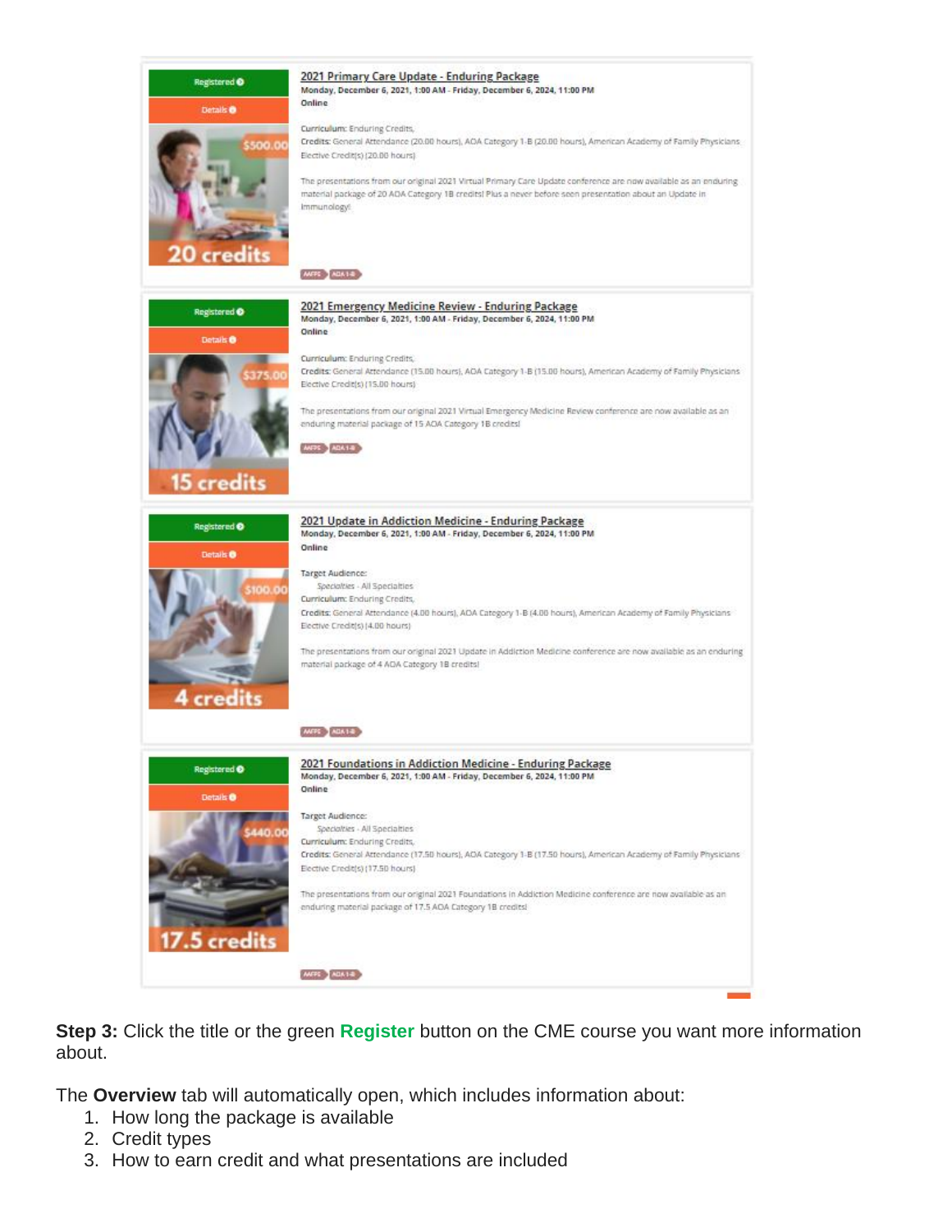

**Step 3:** Click the title or the green **Register** button on the CME course you want more information about.

The **Overview** tab will automatically open, which includes information about:

- 1. How long the package is available
- 2. Credit types
- 3. How to earn credit and what presentations are included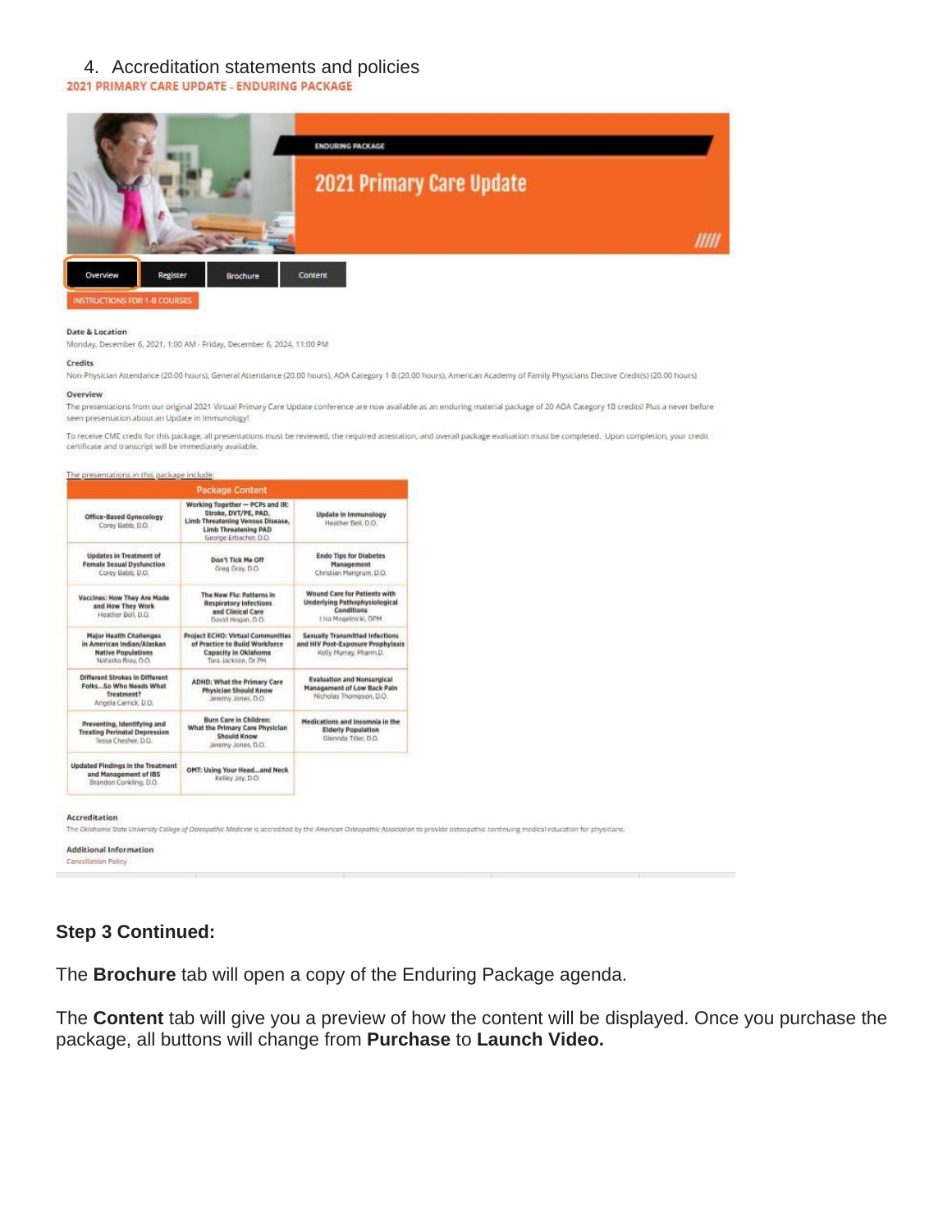# 4. Accreditation statements and policies 2021 PRIMARY CARE UPDATE - ENDURING PACKAGE



#### Date & Location

Monday, December 6, 2021, 1:00 AM - Friday, December 6, 2024, 11:00 PM

#### Credits

Non-Physician Attendance (20.00 hours), General Attendance (20.00 hours), AOA Category 1-8 (20.00 hours), American Academy of Family Physicians Elective Credit(s) (20.00 hours) Overview

The presentations from our original 2021 Virtual Primary Care Update conference are now available as an enduring material package of 20 AOA Caregory 18 credits! Plus a never before seen presentation about an Update in Immunology!

To receive CME credit for this package, all presentations must be reviewed, the required attestation, and overall package evaluation must be completed. Upon completion, your credit certificate and transcript will be immediately available.



The Oklahoma State University College of Osteopathic Medicine is occredited by the American Osteopathic Association to provide osteopathic continuing medical education for physicians.

Additional Information Cancellation Policy

### **Step 3 Continued:**

The **Brochure** tab will open a copy of the Enduring Package agenda.

The **Content** tab will give you a preview of how the content will be displayed. Once you purchase the package, all buttons will change from **Purchase** to **Launch Video.**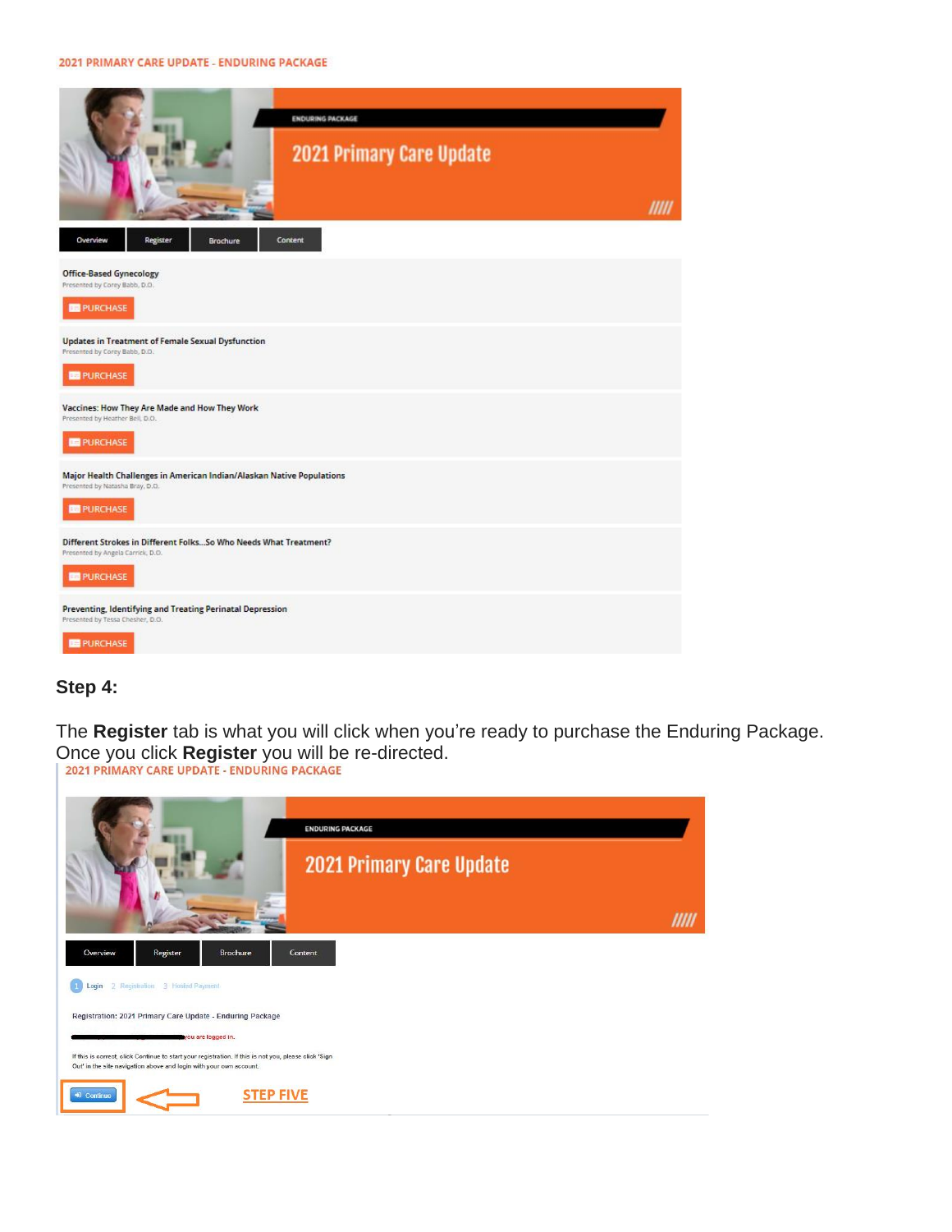#### 2021 PRIMARY CARE UPDATE - ENDURING PACKAGE



### **Step 4:**

The **Register** tab is what you will click when you're ready to purchase the Enduring Package. Once you click **Register** you will be re-directed.<br>2021 PRIMARY CARE UPDATE - ENDURING PACKAGE

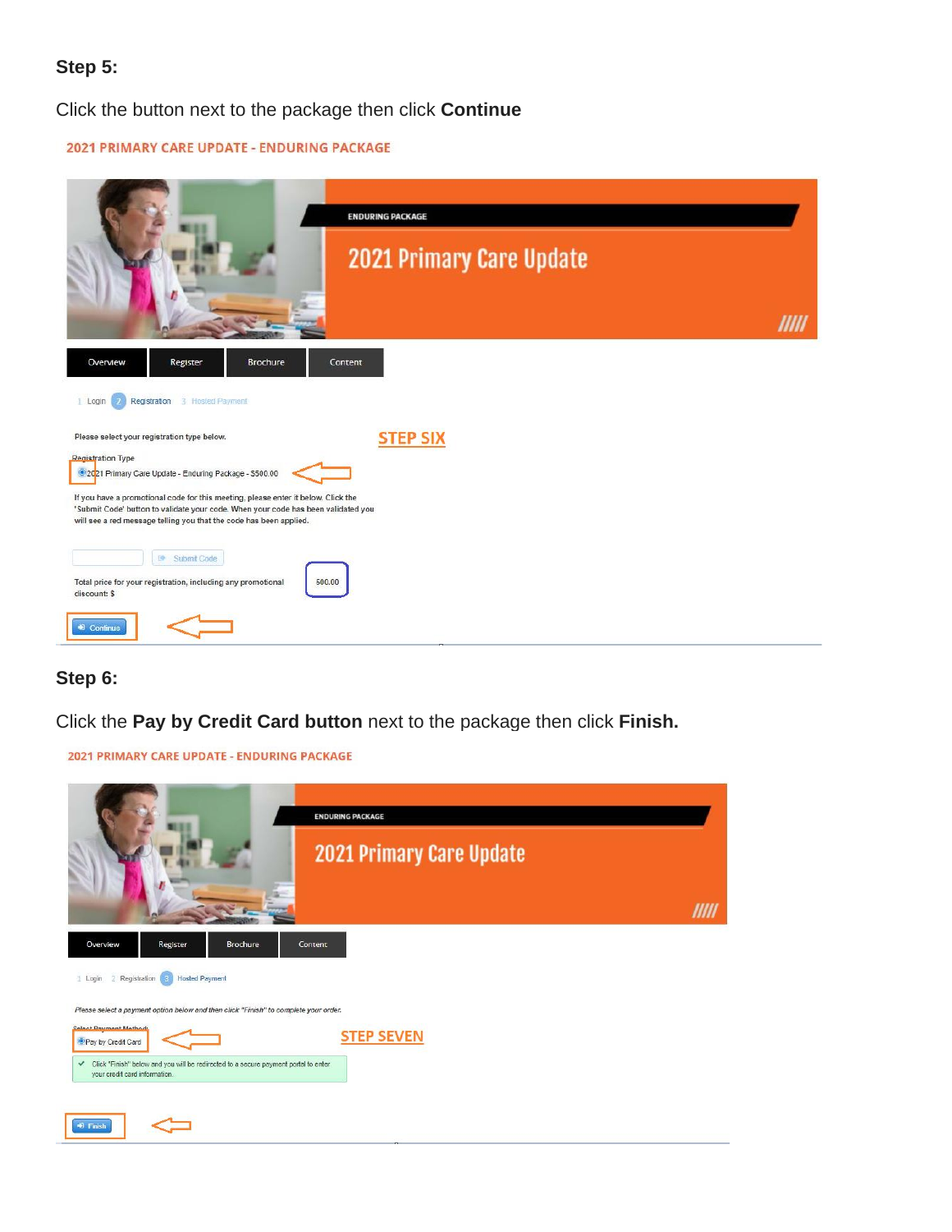## **Step 5:**

Click the button next to the package then click **Continue** 

|  |  | 2021 PRIMARY CARE UPDATE - ENDURING PACKAGE |  |
|--|--|---------------------------------------------|--|
|  |  |                                             |  |



# **Step 6:**

2021 PRIMARY CARE UPDATE - ENDURING PACKAGE

Click the **Pay by Credit Card button** next to the package then click **Finish.** 

| <b>ENDURING PACKAGE</b><br>2021 Primary Care Update                                                                                  |  |
|--------------------------------------------------------------------------------------------------------------------------------------|--|
|                                                                                                                                      |  |
| Overview<br>Register<br>Brochure<br>Content                                                                                          |  |
| <b>Hosted Payment</b><br>2 Registration<br>1 Login<br>я                                                                              |  |
| Please select a payment option below and then click "Finish" to complete your order.                                                 |  |
| Select Deument Methods<br><b>STEP SEVEN</b><br><sup>O</sup> Pay by Credit Card                                                       |  |
| Click "Finish" below and you will be redirected to a secure payment portal to enter<br>$\checkmark$<br>your credit card information. |  |
| <sup>42</sup> Finish                                                                                                                 |  |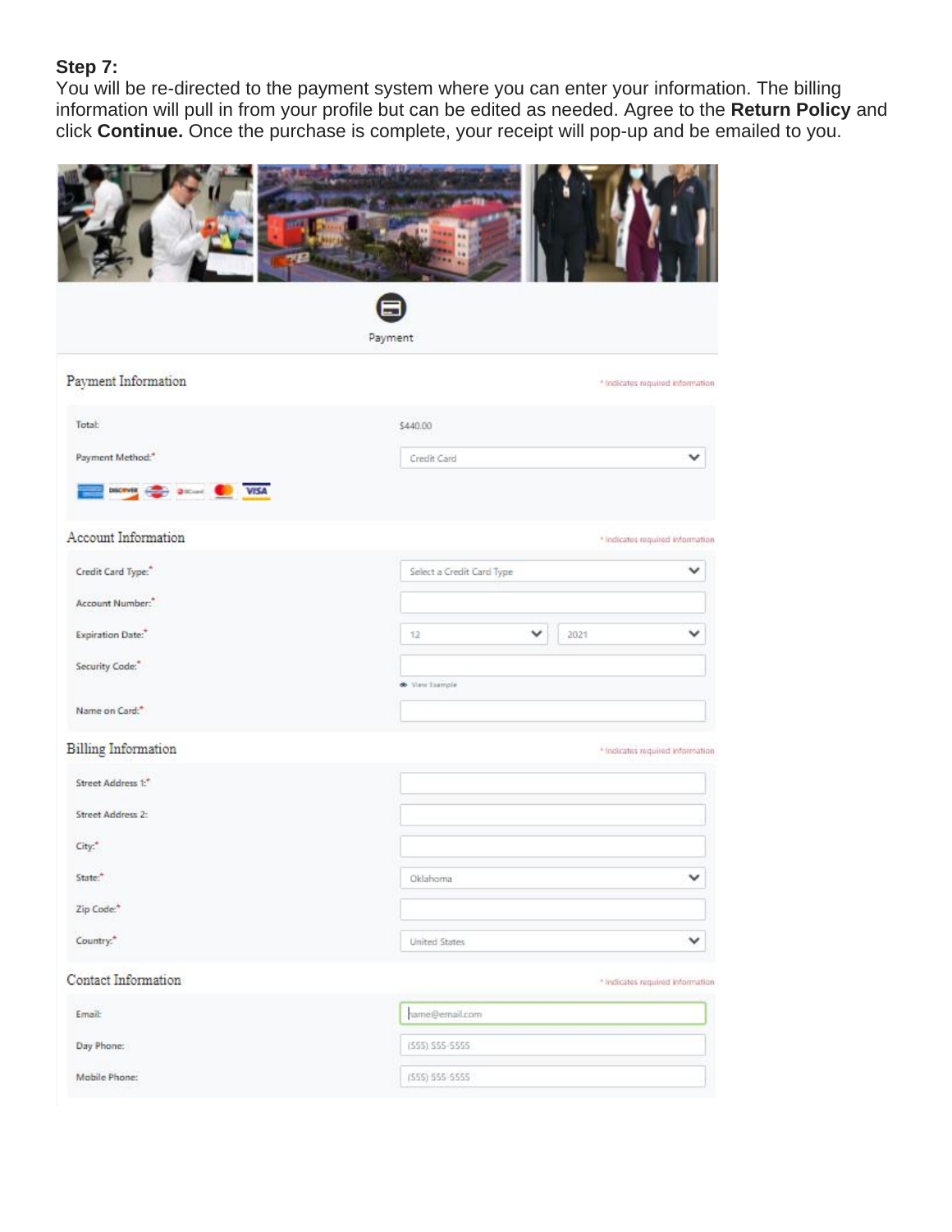# **Step 7:**

You will be re-directed to the payment system where you can enter your information. The billing information will pull in from your profile but can be edited as needed. Agree to the **Return Policy** and click **Continue.** Once the purchase is complete, your receipt will pop-up and be emailed to you.

|                                 | Payment                   |                                  |  |  |  |  |
|---------------------------------|---------------------------|----------------------------------|--|--|--|--|
| Payment Information             |                           | * Indicates required information |  |  |  |  |
| Total:                          | \$440.00                  |                                  |  |  |  |  |
| Payment Method:"                | Credit Card               |                                  |  |  |  |  |
| Datton VISA<br><b>DISCIPARE</b> |                           |                                  |  |  |  |  |
| Account Information             |                           | * Indicates required information |  |  |  |  |
| Credit Card Type:"              | Select a Credit Card Type |                                  |  |  |  |  |
| Account Number:"                |                           |                                  |  |  |  |  |
| Expiration Date:"               | 2021<br>12                |                                  |  |  |  |  |
| Security Code:"                 |                           |                                  |  |  |  |  |
| Name on Card:"                  | W View Esample            |                                  |  |  |  |  |
| <b>Billing Information</b>      |                           | * Indicates required information |  |  |  |  |
| Street Address 1:*              |                           |                                  |  |  |  |  |
| Street Address 2:               |                           |                                  |  |  |  |  |
| City:"                          |                           |                                  |  |  |  |  |
| State:"                         | Oklahoma                  | v                                |  |  |  |  |
| Zip Code:"                      |                           |                                  |  |  |  |  |
| Country. <sup>*</sup>           | United States             | $\checkmark$                     |  |  |  |  |
| Contact Information             |                           | * Indicates required information |  |  |  |  |
| Email:                          | hame@email.com            |                                  |  |  |  |  |
| Day Phone:                      | $(555)$ 555-5555          |                                  |  |  |  |  |
| Mobile Phone:                   | (555) 555-5555            |                                  |  |  |  |  |